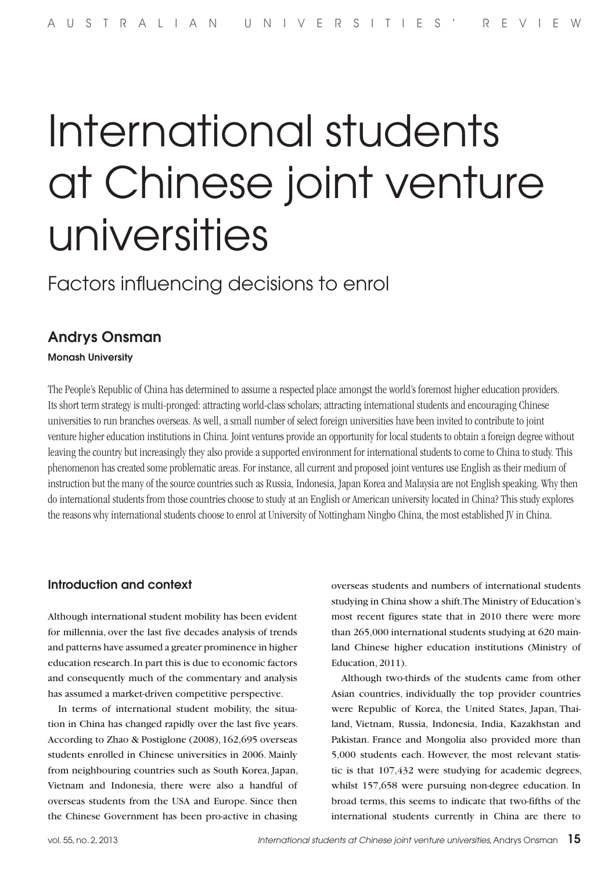# International students at Chinese joint venture universities

Factors influencing decisions to enrol

# Andrys Onsman

Monash University

The People's Republic of China has determined to assume a respected place amongst the world's foremost higher education providers. Its short term strategy is multi-pronged: attracting world-class scholars; attracting international students and encouraging Chinese universities to run branches overseas. As well, a small number of select foreign universities have been invited to contribute to joint venture higher education institutions in China. Joint ventures provide an opportunity for local students to obtain a foreign degree without leaving the country but increasingly they also provide a supported environment for international students to come to China to study. This phenomenon has created some problematic areas. For instance, all current and proposed joint ventures use English as their medium of instruction but the many of the source countries such as Russia, Indonesia, Japan Korea and Malaysia are not English speaking. Why then do international students from those countries choose to study at an English or American university located in China? This study explores the reasons why international students choose to enrol at University of Nottingham Ningbo China, the most established JV in China.

# Introduction and context

Although international student mobility has been evident for millennia, over the last five decades analysis of trends and patterns have assumed a greater prominence in higher education research. In part this is due to economic factors and consequently much of the commentary and analysis has assumed a market-driven competitive perspective.

In terms of international student mobility, the situation in China has changed rapidly over the last five years. According to Zhao & Postiglone (2008), 162,695 overseas students enrolled in Chinese universities in 2006. Mainly from neighbouring countries such as South Korea, Japan, Vietnam and Indonesia, there were also a handful of overseas students from the USA and Europe. Since then the Chinese Government has been pro-active in chasing

overseas students and numbers of international students studying in China show a shift. The Ministry of Education's most recent figures state that in 2010 there were more than 265,000 international students studying at 620 mainland Chinese higher education institutions (Ministry of Education, 2011).

Although two-thirds of the students came from other Asian countries, individually the top provider countries were Republic of Korea, the United States, Japan, Thailand, Vietnam, Russia, Indonesia, India, Kazakhstan and Pakistan. France and Mongolia also provided more than 5,000 students each. However, the most relevant statistic is that 107,432 were studying for academic degrees, whilst 157,658 were pursuing non-degree education. In broad terms, this seems to indicate that two-fifths of the international students currently in China are there to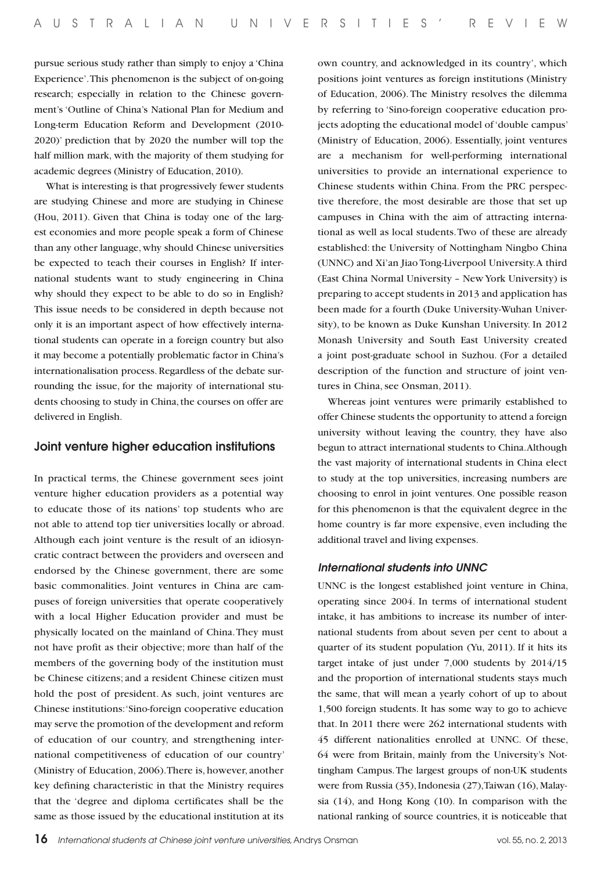pursue serious study rather than simply to enjoy a 'China Experience'. This phenomenon is the subject of on-going research; especially in relation to the Chinese government's 'Outline of China's National Plan for Medium and Long-term Education Reform and Development (2010- 2020)' prediction that by 2020 the number will top the half million mark, with the majority of them studying for academic degrees (Ministry of Education, 2010).

 What is interesting is that progressively fewer students are studying Chinese and more are studying in Chinese (Hou, 2011). Given that China is today one of the largest economies and more people speak a form of Chinese than any other language, why should Chinese universities be expected to teach their courses in English? If international students want to study engineering in China why should they expect to be able to do so in English? This issue needs to be considered in depth because not only it is an important aspect of how effectively international students can operate in a foreign country but also it may become a potentially problematic factor in China's internationalisation process. Regardless of the debate surrounding the issue, for the majority of international students choosing to study in China, the courses on offer are delivered in English.

## Joint venture higher education institutions

In practical terms, the Chinese government sees joint venture higher education providers as a potential way to educate those of its nations' top students who are not able to attend top tier universities locally or abroad. Although each joint venture is the result of an idiosyncratic contract between the providers and overseen and endorsed by the Chinese government, there are some basic commonalities. Joint ventures in China are campuses of foreign universities that operate cooperatively with a local Higher Education provider and must be physically located on the mainland of China. They must not have profit as their objective; more than half of the members of the governing body of the institution must be Chinese citizens; and a resident Chinese citizen must hold the post of president. As such, joint ventures are Chinese institutions: 'Sino-foreign cooperative education may serve the promotion of the development and reform of education of our country, and strengthening international competitiveness of education of our country' (Ministry of Education, 2006). There is, however, another key defining characteristic in that the Ministry requires that the 'degree and diploma certificates shall be the same as those issued by the educational institution at its

own country, and acknowledged in its country', which positions joint ventures as foreign institutions (Ministry of Education, 2006). The Ministry resolves the dilemma by referring to 'Sino-foreign cooperative education projects adopting the educational model of 'double campus' (Ministry of Education, 2006). Essentially, joint ventures are a mechanism for well-performing international universities to provide an international experience to Chinese students within China. From the PRC perspective therefore, the most desirable are those that set up campuses in China with the aim of attracting international as well as local students. Two of these are already established: the University of Nottingham Ningbo China (UNNC) and Xi'an Jiao Tong-Liverpool University. A third (East China Normal University – New York University) is preparing to accept students in 2013 and application has been made for a fourth (Duke University-Wuhan University), to be known as Duke Kunshan University. In 2012 Monash University and South East University created a joint post-graduate school in Suzhou. (For a detailed description of the function and structure of joint ventures in China, see Onsman, 2011).

Whereas joint ventures were primarily established to offer Chinese students the opportunity to attend a foreign university without leaving the country, they have also begun to attract international students to China. Although the vast majority of international students in China elect to study at the top universities, increasing numbers are choosing to enrol in joint ventures. One possible reason for this phenomenon is that the equivalent degree in the home country is far more expensive, even including the additional travel and living expenses.

#### *International students into UNNC*

UNNC is the longest established joint venture in China, operating since 2004. In terms of international student intake, it has ambitions to increase its number of international students from about seven per cent to about a quarter of its student population (Yu, 2011). If it hits its target intake of just under 7,000 students by 2014/15 and the proportion of international students stays much the same, that will mean a yearly cohort of up to about 1,500 foreign students. It has some way to go to achieve that. In 2011 there were 262 international students with 45 different nationalities enrolled at UNNC. Of these, 64 were from Britain, mainly from the University's Nottingham Campus. The largest groups of non-UK students were from Russia (35), Indonesia (27), Taiwan (16), Malaysia (14), and Hong Kong (10). In comparison with the national ranking of source countries, it is noticeable that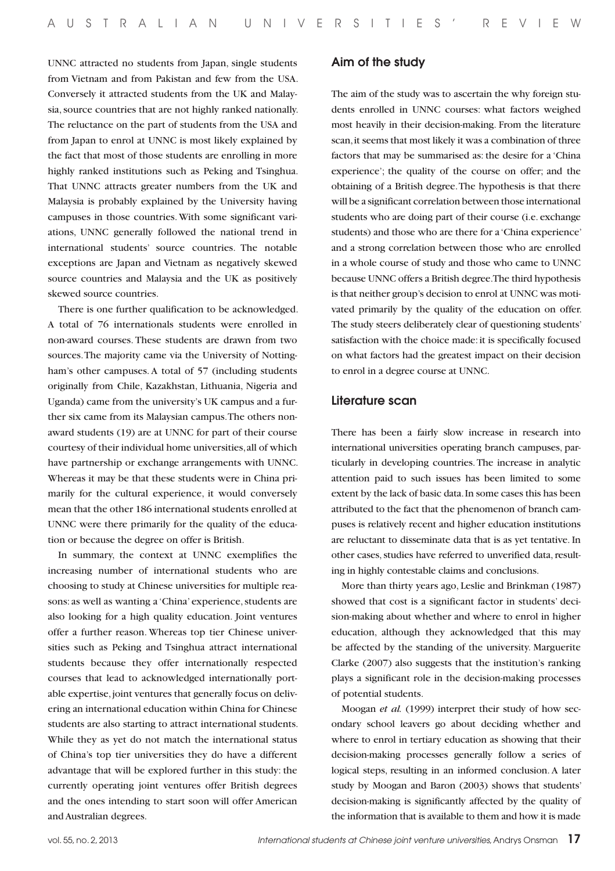UNNC attracted no students from Japan, single students from Vietnam and from Pakistan and few from the USA. Conversely it attracted students from the UK and Malaysia, source countries that are not highly ranked nationally. The reluctance on the part of students from the USA and from Japan to enrol at UNNC is most likely explained by the fact that most of those students are enrolling in more highly ranked institutions such as Peking and Tsinghua. That UNNC attracts greater numbers from the UK and Malaysia is probably explained by the University having campuses in those countries. With some significant variations, UNNC generally followed the national trend in international students' source countries. The notable exceptions are Japan and Vietnam as negatively skewed source countries and Malaysia and the UK as positively skewed source countries.

There is one further qualification to be acknowledged. A total of 76 internationals students were enrolled in non-award courses. These students are drawn from two sources. The majority came via the University of Nottingham's other campuses. A total of 57 (including students originally from Chile, Kazakhstan, Lithuania, Nigeria and Uganda) came from the university's UK campus and a further six came from its Malaysian campus. The others nonaward students (19) are at UNNC for part of their course courtesy of their individual home universities, all of which have partnership or exchange arrangements with UNNC. Whereas it may be that these students were in China primarily for the cultural experience, it would conversely mean that the other 186 international students enrolled at UNNC were there primarily for the quality of the education or because the degree on offer is British.

In summary, the context at UNNC exemplifies the increasing number of international students who are choosing to study at Chinese universities for multiple reasons: as well as wanting a 'China' experience, students are also looking for a high quality education. Joint ventures offer a further reason. Whereas top tier Chinese universities such as Peking and Tsinghua attract international students because they offer internationally respected courses that lead to acknowledged internationally portable expertise, joint ventures that generally focus on delivering an international education within China for Chinese students are also starting to attract international students. While they as yet do not match the international status of China's top tier universities they do have a different advantage that will be explored further in this study: the currently operating joint ventures offer British degrees and the ones intending to start soon will offer American and Australian degrees.

# Aim of the study

The aim of the study was to ascertain the why foreign students enrolled in UNNC courses: what factors weighed most heavily in their decision-making. From the literature scan, it seems that most likely it was a combination of three factors that may be summarised as: the desire for a 'China experience'; the quality of the course on offer; and the obtaining of a British degree. The hypothesis is that there will be a significant correlation between those international students who are doing part of their course (i.e. exchange students) and those who are there for a 'China experience' and a strong correlation between those who are enrolled in a whole course of study and those who came to UNNC because UNNC offers a British degree. The third hypothesis is that neither group's decision to enrol at UNNC was motivated primarily by the quality of the education on offer. The study steers deliberately clear of questioning students' satisfaction with the choice made: it is specifically focused on what factors had the greatest impact on their decision to enrol in a degree course at UNNC.

## Literature scan

There has been a fairly slow increase in research into international universities operating branch campuses, particularly in developing countries. The increase in analytic attention paid to such issues has been limited to some extent by the lack of basic data. In some cases this has been attributed to the fact that the phenomenon of branch campuses is relatively recent and higher education institutions are reluctant to disseminate data that is as yet tentative. In other cases, studies have referred to unverified data, resulting in highly contestable claims and conclusions.

More than thirty years ago, Leslie and Brinkman (1987) showed that cost is a significant factor in students' decision-making about whether and where to enrol in higher education, although they acknowledged that this may be affected by the standing of the university. Marguerite Clarke (2007) also suggests that the institution's ranking plays a significant role in the decision-making processes of potential students.

Moogan *et al.* (1999) interpret their study of how secondary school leavers go about deciding whether and where to enrol in tertiary education as showing that their decision-making processes generally follow a series of logical steps, resulting in an informed conclusion. A later study by Moogan and Baron (2003) shows that students' decision-making is significantly affected by the quality of the information that is available to them and how it is made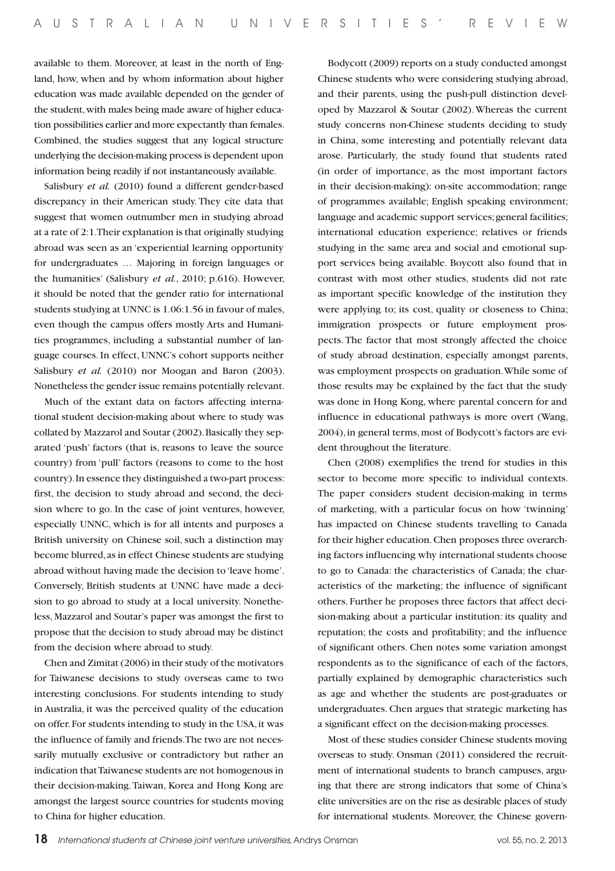available to them. Moreover, at least in the north of England, how, when and by whom information about higher education was made available depended on the gender of the student, with males being made aware of higher education possibilities earlier and more expectantly than females. Combined, the studies suggest that any logical structure underlying the decision-making process is dependent upon information being readily if not instantaneously available.

Salisbury *et al.* (2010) found a different gender-based discrepancy in their American study. They cite data that suggest that women outnumber men in studying abroad at a rate of 2:1. Their explanation is that originally studying abroad was seen as an 'experiential learning opportunity for undergraduates … Majoring in foreign languages or the humanities' (Salisbury *et al.*, 2010; p.616). However, it should be noted that the gender ratio for international students studying at UNNC is 1.06:1.56 in favour of males, even though the campus offers mostly Arts and Humanities programmes, including a substantial number of language courses. In effect, UNNC's cohort supports neither Salisbury *et al.* (2010) nor Moogan and Baron (2003). Nonetheless the gender issue remains potentially relevant.

Much of the extant data on factors affecting international student decision-making about where to study was collated by Mazzarol and Soutar (2002). Basically they separated 'push' factors (that is, reasons to leave the source country) from 'pull' factors (reasons to come to the host country). In essence they distinguished a two-part process: first, the decision to study abroad and second, the decision where to go. In the case of joint ventures, however, especially UNNC, which is for all intents and purposes a British university on Chinese soil, such a distinction may become blurred, as in effect Chinese students are studying abroad without having made the decision to 'leave home'. Conversely, British students at UNNC have made a decision to go abroad to study at a local university. Nonetheless, Mazzarol and Soutar's paper was amongst the first to propose that the decision to study abroad may be distinct from the decision where abroad to study.

Chen and Zimitat (2006) in their study of the motivators for Taiwanese decisions to study overseas came to two interesting conclusions. For students intending to study in Australia, it was the perceived quality of the education on offer. For students intending to study in the USA, it was the influence of family and friends. The two are not necessarily mutually exclusive or contradictory but rather an indication that Taiwanese students are not homogenous in their decision-making. Taiwan, Korea and Hong Kong are amongst the largest source countries for students moving to China for higher education.

Bodycott (2009) reports on a study conducted amongst Chinese students who were considering studying abroad, and their parents, using the push-pull distinction developed by Mazzarol & Soutar (2002). Whereas the current study concerns non-Chinese students deciding to study in China, some interesting and potentially relevant data arose. Particularly, the study found that students rated (in order of importance, as the most important factors in their decision-making): on-site accommodation; range of programmes available; English speaking environment; language and academic support services; general facilities; international education experience; relatives or friends studying in the same area and social and emotional support services being available. Boycott also found that in contrast with most other studies, students did not rate as important specific knowledge of the institution they were applying to; its cost, quality or closeness to China; immigration prospects or future employment prospects. The factor that most strongly affected the choice of study abroad destination, especially amongst parents, was employment prospects on graduation. While some of those results may be explained by the fact that the study was done in Hong Kong, where parental concern for and influence in educational pathways is more overt (Wang, 2004), in general terms, most of Bodycott's factors are evident throughout the literature.

Chen (2008) exemplifies the trend for studies in this sector to become more specific to individual contexts. The paper considers student decision-making in terms of marketing, with a particular focus on how 'twinning' has impacted on Chinese students travelling to Canada for their higher education. Chen proposes three overarching factors influencing why international students choose to go to Canada: the characteristics of Canada; the characteristics of the marketing; the influence of significant others. Further he proposes three factors that affect decision-making about a particular institution: its quality and reputation; the costs and profitability; and the influence of significant others. Chen notes some variation amongst respondents as to the significance of each of the factors, partially explained by demographic characteristics such as age and whether the students are post-graduates or undergraduates. Chen argues that strategic marketing has a significant effect on the decision-making processes.

Most of these studies consider Chinese students moving overseas to study. Onsman (2011) considered the recruitment of international students to branch campuses, arguing that there are strong indicators that some of China's elite universities are on the rise as desirable places of study for international students. Moreover, the Chinese govern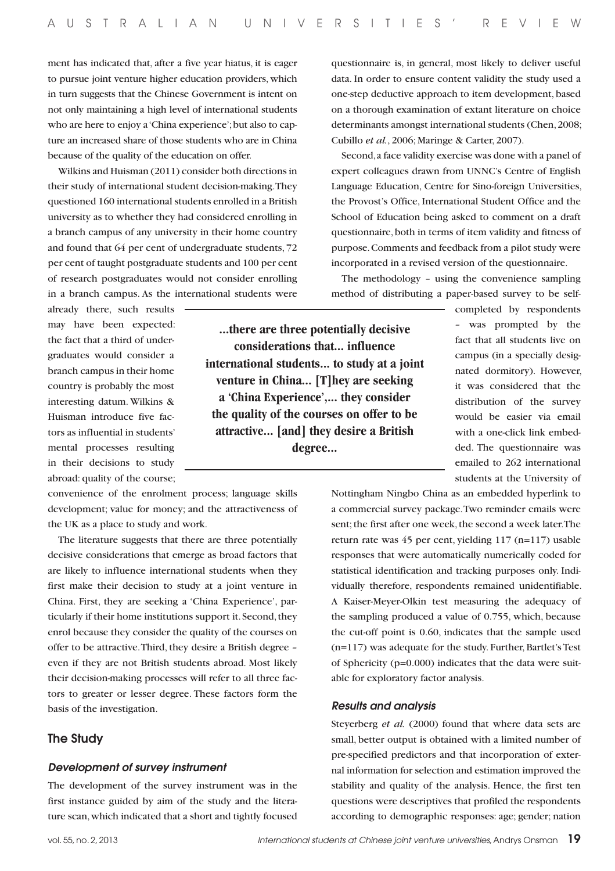ment has indicated that, after a five year hiatus, it is eager to pursue joint venture higher education providers, which in turn suggests that the Chinese Government is intent on not only maintaining a high level of international students who are here to enjoy a 'China experience'; but also to capture an increased share of those students who are in China because of the quality of the education on offer.

Wilkins and Huisman (2011) consider both directions in their study of international student decision-making. They questioned 160 international students enrolled in a British university as to whether they had considered enrolling in a branch campus of any university in their home country and found that 64 per cent of undergraduate students, 72 per cent of taught postgraduate students and 100 per cent of research postgraduates would not consider enrolling in a branch campus. As the international students were

questionnaire is, in general, most likely to deliver useful data. In order to ensure content validity the study used a one-step deductive approach to item development, based on a thorough examination of extant literature on choice determinants amongst international students (Chen, 2008; Cubillo *et al.*, 2006; Maringe & Carter, 2007).

Second, a face validity exercise was done with a panel of expert colleagues drawn from UNNC's Centre of English Language Education, Centre for Sino-foreign Universities, the Provost's Office, International Student Office and the School of Education being asked to comment on a draft questionnaire, both in terms of item validity and fitness of purpose. Comments and feedback from a pilot study were incorporated in a revised version of the questionnaire.

The methodology – using the convenience sampling method of distributing a paper-based survey to be self-

already there, such results may have been expected: the fact that a third of undergraduates would consider a branch campus in their home country is probably the most interesting datum. Wilkins & Huisman introduce five factors as influential in students' mental processes resulting in their decisions to study abroad: quality of the course;

convenience of the enrolment process; language skills development; value for money; and the attractiveness of the UK as a place to study and work.

The literature suggests that there are three potentially decisive considerations that emerge as broad factors that are likely to influence international students when they first make their decision to study at a joint venture in China. First, they are seeking a 'China Experience', particularly if their home institutions support it. Second, they enrol because they consider the quality of the courses on offer to be attractive. Third, they desire a British degree – even if they are not British students abroad. Most likely their decision-making processes will refer to all three factors to greater or lesser degree. These factors form the basis of the investigation.

# The Study

#### *Development of survey instrument*

The development of the survey instrument was in the first instance guided by aim of the study and the literature scan, which indicated that a short and tightly focused

**...there are three potentially decisive considerations that... influence international students... to study at a joint venture in China... [T]hey are seeking a 'China Experience',... they consider the quality of the courses on offer to be attractive... [and] they desire a British degree...**

completed by respondents – was prompted by the fact that all students live on campus (in a specially designated dormitory). However, it was considered that the distribution of the survey would be easier via email with a one-click link embedded. The questionnaire was emailed to 262 international students at the University of

Nottingham Ningbo China as an embedded hyperlink to a commercial survey package. Two reminder emails were sent; the first after one week, the second a week later. The return rate was 45 per cent, yielding 117 (n=117) usable responses that were automatically numerically coded for statistical identification and tracking purposes only. Individually therefore, respondents remained unidentifiable. A Kaiser-Meyer-Olkin test measuring the adequacy of the sampling produced a value of 0.755, which, because the cut-off point is 0.60, indicates that the sample used (n=117) was adequate for the study. Further, Bartlet's Test of Sphericity (p=0.000) indicates that the data were suitable for exploratory factor analysis.

### *Results and analysis*

Steyerberg *et al.* (2000) found that where data sets are small, better output is obtained with a limited number of pre-specified predictors and that incorporation of external information for selection and estimation improved the stability and quality of the analysis. Hence, the first ten questions were descriptives that profiled the respondents according to demographic responses: age; gender; nation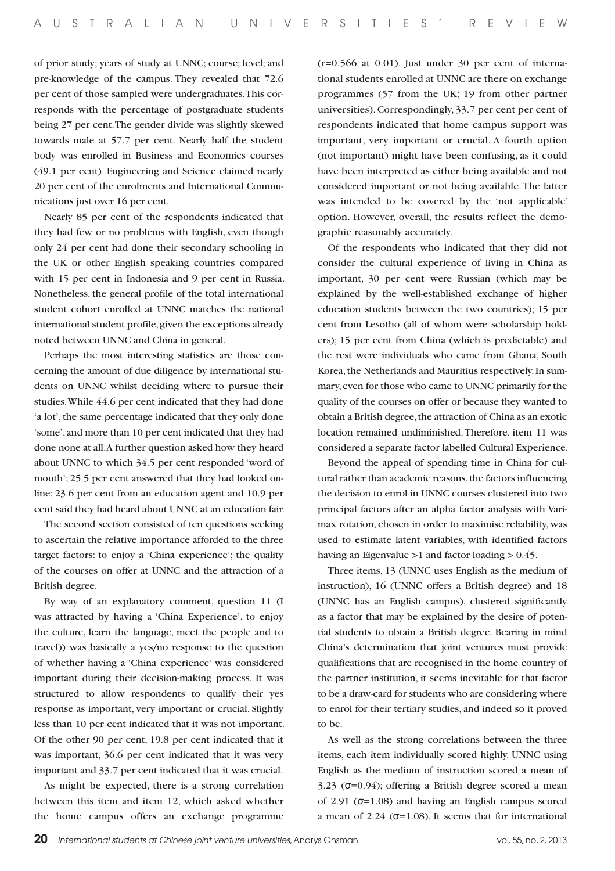of prior study; years of study at UNNC; course; level; and pre-knowledge of the campus. They revealed that 72.6 per cent of those sampled were undergraduates. This corresponds with the percentage of postgraduate students being 27 per cent. The gender divide was slightly skewed towards male at 57.7 per cent. Nearly half the student body was enrolled in Business and Economics courses (49.1 per cent). Engineering and Science claimed nearly 20 per cent of the enrolments and International Communications just over 16 per cent.

Nearly 85 per cent of the respondents indicated that they had few or no problems with English, even though only 24 per cent had done their secondary schooling in the UK or other English speaking countries compared with 15 per cent in Indonesia and 9 per cent in Russia. Nonetheless, the general profile of the total international student cohort enrolled at UNNC matches the national international student profile, given the exceptions already noted between UNNC and China in general.

Perhaps the most interesting statistics are those concerning the amount of due diligence by international students on UNNC whilst deciding where to pursue their studies. While 44.6 per cent indicated that they had done 'a lot', the same percentage indicated that they only done 'some', and more than 10 per cent indicated that they had done none at all. A further question asked how they heard about UNNC to which 34.5 per cent responded 'word of mouth'; 25.5 per cent answered that they had looked online; 23.6 per cent from an education agent and 10.9 per cent said they had heard about UNNC at an education fair.

The second section consisted of ten questions seeking to ascertain the relative importance afforded to the three target factors: to enjoy a 'China experience'; the quality of the courses on offer at UNNC and the attraction of a British degree.

By way of an explanatory comment, question 11 (I was attracted by having a 'China Experience', to enjoy the culture, learn the language, meet the people and to travel)) was basically a yes/no response to the question of whether having a 'China experience' was considered important during their decision-making process. It was structured to allow respondents to qualify their yes response as important, very important or crucial. Slightly less than 10 per cent indicated that it was not important. Of the other 90 per cent, 19.8 per cent indicated that it was important, 36.6 per cent indicated that it was very important and 33.7 per cent indicated that it was crucial.

As might be expected, there is a strong correlation between this item and item 12, which asked whether the home campus offers an exchange programme

(r=0.566 at 0.01). Just under 30 per cent of international students enrolled at UNNC are there on exchange programmes (57 from the UK; 19 from other partner universities). Correspondingly, 33.7 per cent per cent of respondents indicated that home campus support was important, very important or crucial. A fourth option (not important) might have been confusing, as it could have been interpreted as either being available and not considered important or not being available. The latter was intended to be covered by the 'not applicable' option. However, overall, the results reflect the demographic reasonably accurately.

Of the respondents who indicated that they did not consider the cultural experience of living in China as important, 30 per cent were Russian (which may be explained by the well-established exchange of higher education students between the two countries); 15 per cent from Lesotho (all of whom were scholarship holders); 15 per cent from China (which is predictable) and the rest were individuals who came from Ghana, South Korea, the Netherlands and Mauritius respectively. In summary, even for those who came to UNNC primarily for the quality of the courses on offer or because they wanted to obtain a British degree, the attraction of China as an exotic location remained undiminished. Therefore, item 11 was considered a separate factor labelled Cultural Experience.

Beyond the appeal of spending time in China for cultural rather than academic reasons, the factors influencing the decision to enrol in UNNC courses clustered into two principal factors after an alpha factor analysis with Varimax rotation, chosen in order to maximise reliability, was used to estimate latent variables, with identified factors having an Eigenvalue >1 and factor loading > 0.45.

Three items, 13 (UNNC uses English as the medium of instruction), 16 (UNNC offers a British degree) and 18 (UNNC has an English campus), clustered significantly as a factor that may be explained by the desire of potential students to obtain a British degree. Bearing in mind China's determination that joint ventures must provide qualifications that are recognised in the home country of the partner institution, it seems inevitable for that factor to be a draw-card for students who are considering where to enrol for their tertiary studies, and indeed so it proved to be.

As well as the strong correlations between the three items, each item individually scored highly. UNNC using English as the medium of instruction scored a mean of 3.23  $(0=0.94)$ ; offering a British degree scored a mean of 2.91 (σ=1.08) and having an English campus scored a mean of  $2.24$  ( $\sigma$ =1.08). It seems that for international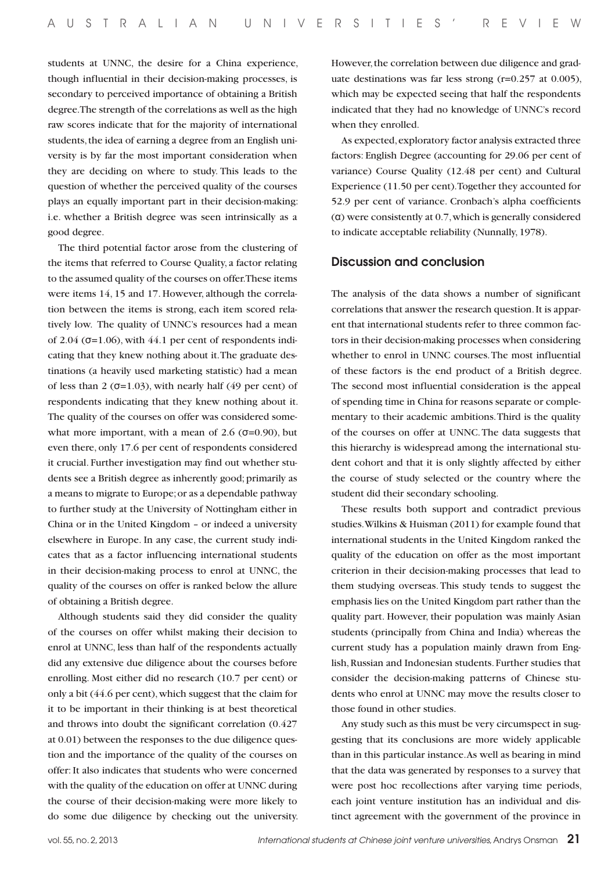students at UNNC, the desire for a China experience, though influential in their decision-making processes, is secondary to perceived importance of obtaining a British degree. The strength of the correlations as well as the high raw scores indicate that for the majority of international students, the idea of earning a degree from an English university is by far the most important consideration when they are deciding on where to study. This leads to the question of whether the perceived quality of the courses plays an equally important part in their decision-making: i.e. whether a British degree was seen intrinsically as a good degree.

The third potential factor arose from the clustering of the items that referred to Course Quality, a factor relating to the assumed quality of the courses on offer. These items were items 14, 15 and 17. However, although the correlation between the items is strong, each item scored relatively low. The quality of UNNC's resources had a mean of 2.04 ( $\sigma$ =1.06), with 44.1 per cent of respondents indicating that they knew nothing about it. The graduate destinations (a heavily used marketing statistic) had a mean of less than 2 ( $\sigma$ =1.03), with nearly half (49 per cent) of respondents indicating that they knew nothing about it. The quality of the courses on offer was considered somewhat more important, with a mean of 2.6 ( $\sigma$ =0.90), but even there, only 17.6 per cent of respondents considered it crucial. Further investigation may find out whether students see a British degree as inherently good; primarily as a means to migrate to Europe; or as a dependable pathway to further study at the University of Nottingham either in China or in the United Kingdom – or indeed a university elsewhere in Europe. In any case, the current study indicates that as a factor influencing international students in their decision-making process to enrol at UNNC, the quality of the courses on offer is ranked below the allure of obtaining a British degree.

Although students said they did consider the quality of the courses on offer whilst making their decision to enrol at UNNC, less than half of the respondents actually did any extensive due diligence about the courses before enrolling. Most either did no research (10.7 per cent) or only a bit (44.6 per cent), which suggest that the claim for it to be important in their thinking is at best theoretical and throws into doubt the significant correlation (0.427 at 0.01) between the responses to the due diligence question and the importance of the quality of the courses on offer: It also indicates that students who were concerned with the quality of the education on offer at UNNC during the course of their decision-making were more likely to do some due diligence by checking out the university. However, the correlation between due diligence and graduate destinations was far less strong (r=0.257 at 0.005), which may be expected seeing that half the respondents indicated that they had no knowledge of UNNC's record when they enrolled.

As expected, exploratory factor analysis extracted three factors: English Degree (accounting for 29.06 per cent of variance) Course Quality (12.48 per cent) and Cultural Experience (11.50 per cent). Together they accounted for 52.9 per cent of variance. Cronbach's alpha coefficients (α) were consistently at 0.7, which is generally considered to indicate acceptable reliability (Nunnally, 1978).

# Discussion and conclusion

The analysis of the data shows a number of significant correlations that answer the research question. It is apparent that international students refer to three common factors in their decision-making processes when considering whether to enrol in UNNC courses. The most influential of these factors is the end product of a British degree. The second most influential consideration is the appeal of spending time in China for reasons separate or complementary to their academic ambitions. Third is the quality of the courses on offer at UNNC. The data suggests that this hierarchy is widespread among the international student cohort and that it is only slightly affected by either the course of study selected or the country where the student did their secondary schooling.

These results both support and contradict previous studies. Wilkins & Huisman (2011) for example found that international students in the United Kingdom ranked the quality of the education on offer as the most important criterion in their decision-making processes that lead to them studying overseas. This study tends to suggest the emphasis lies on the United Kingdom part rather than the quality part. However, their population was mainly Asian students (principally from China and India) whereas the current study has a population mainly drawn from English, Russian and Indonesian students. Further studies that consider the decision-making patterns of Chinese students who enrol at UNNC may move the results closer to those found in other studies.

Any study such as this must be very circumspect in suggesting that its conclusions are more widely applicable than in this particular instance. As well as bearing in mind that the data was generated by responses to a survey that were post hoc recollections after varying time periods, each joint venture institution has an individual and distinct agreement with the government of the province in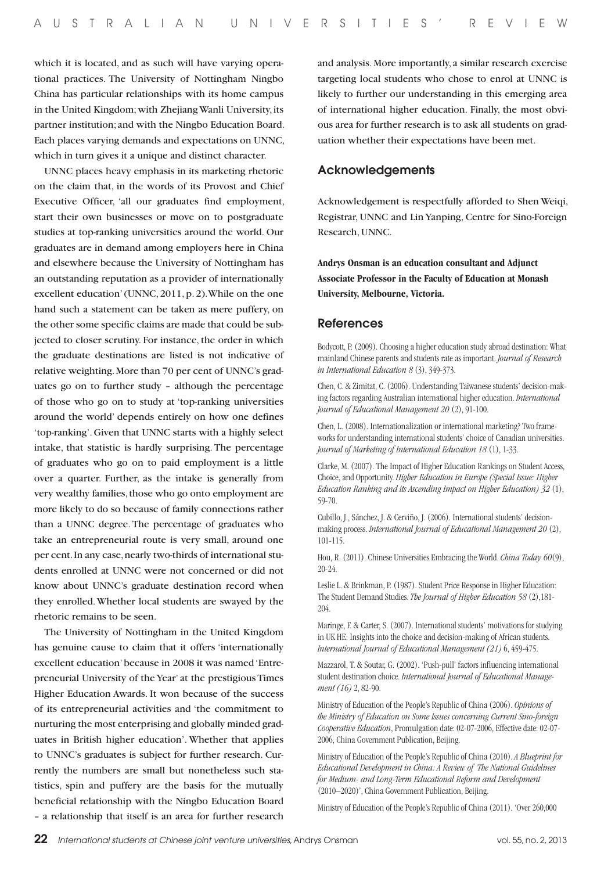which it is located, and as such will have varying operational practices. The University of Nottingham Ningbo China has particular relationships with its home campus in the United Kingdom; with Zhejiang Wanli University, its partner institution; and with the Ningbo Education Board. Each places varying demands and expectations on UNNC, which in turn gives it a unique and distinct character.

UNNC places heavy emphasis in its marketing rhetoric on the claim that, in the words of its Provost and Chief Executive Officer, 'all our graduates find employment, start their own businesses or move on to postgraduate studies at top-ranking universities around the world. Our graduates are in demand among employers here in China and elsewhere because the University of Nottingham has an outstanding reputation as a provider of internationally excellent education' (UNNC, 2011, p. 2). While on the one hand such a statement can be taken as mere puffery, on the other some specific claims are made that could be subjected to closer scrutiny. For instance, the order in which the graduate destinations are listed is not indicative of relative weighting. More than 70 per cent of UNNC's graduates go on to further study – although the percentage of those who go on to study at 'top-ranking universities around the world' depends entirely on how one defines 'top-ranking'. Given that UNNC starts with a highly select intake, that statistic is hardly surprising. The percentage of graduates who go on to paid employment is a little over a quarter. Further, as the intake is generally from very wealthy families, those who go onto employment are more likely to do so because of family connections rather than a UNNC degree. The percentage of graduates who take an entrepreneurial route is very small, around one per cent. In any case, nearly two-thirds of international students enrolled at UNNC were not concerned or did not know about UNNC's graduate destination record when they enrolled. Whether local students are swayed by the rhetoric remains to be seen.

The University of Nottingham in the United Kingdom has genuine cause to claim that it offers 'internationally excellent education' because in 2008 it was named 'Entrepreneurial University of the Year' at the prestigious Times Higher Education Awards. It won because of the success of its entrepreneurial activities and 'the commitment to nurturing the most enterprising and globally minded graduates in British higher education'. Whether that applies to UNNC's graduates is subject for further research. Currently the numbers are small but nonetheless such statistics, spin and puffery are the basis for the mutually beneficial relationship with the Ningbo Education Board – a relationship that itself is an area for further research

and analysis. More importantly, a similar research exercise targeting local students who chose to enrol at UNNC is likely to further our understanding in this emerging area of international higher education. Finally, the most obvious area for further research is to ask all students on graduation whether their expectations have been met.

# Acknowledgements

Acknowledgement is respectfully afforded to Shen Weiqi, Registrar, UNNC and Lin Yanping, Centre for Sino-Foreign Research, UNNC.

**Andrys Onsman is an education consultant and Adjunct Associate Professor in the Faculty of Education at Monash University, Melbourne, Victoria.**

#### References

Bodycott, P. (2009). Choosing a higher education study abroad destination: What mainland Chinese parents and students rate as important. *Journal of Research in International Education 8* (3), 349-373.

Chen, C. & Zimitat, C. (2006). Understanding Taiwanese students' decision-making factors regarding Australian international higher education. *International Journal of Educational Management 20* (2), 91-100.

Chen, L. (2008). Internationalization or international marketing? Two frameworks for understanding international students' choice of Canadian universities. *Journal of Marketing of International Education 18* (1), 1-33.

Clarke, M. (2007). The Impact of Higher Education Rankings on Student Access, Choice, and Opportunity. *Higher Education in Europe (Special Issue: Higher Education Ranking and its Ascending Impact on Higher Education) 32* (1), 59-70.

Cubillo, J., Sánchez, J. & Cerviño, J. (2006). International students' decisionmaking process. *International Journal of Educational Management 20* (2), 101-115.

Hou, R. (2011). Chinese Universities Embracing the World. *China Today 60*(9), 20-24.

Leslie L. & Brinkman, P. (1987). Student Price Response in Higher Education: The Student Demand Studies. *The Journal of Higher Education 58* (2),181- 204.

Maringe, F. & Carter, S. (2007). International students' motivations for studying in UK HE: Insights into the choice and decision-making of African students. *International Journal of Educational Management (21)* 6, 459-475.

Mazzarol, T. & Soutar, G. (2002). 'Push-pull' factors influencing international student destination choice. *International Journal of Educational Management (16)* 2, 82-90.

Ministry of Education of the People's Republic of China (2006). *Opinions of the Ministry of Education on Some Issues concerning Current Sino-foreign Cooperative Education*, Promulgation date: 02-07-2006, Effective date: 02-07- 2006, China Government Publication, Beijing.

Ministry of Education of the People's Republic of China (2010). *A Blueprint for Educational Development in China: A Review of 'The National Guidelines for Medium- and Long-Term Educational Reform and Development*  (2010–2020)', China Government Publication, Beijing.

Ministry of Education of the People's Republic of China (2011). 'Over 260,000